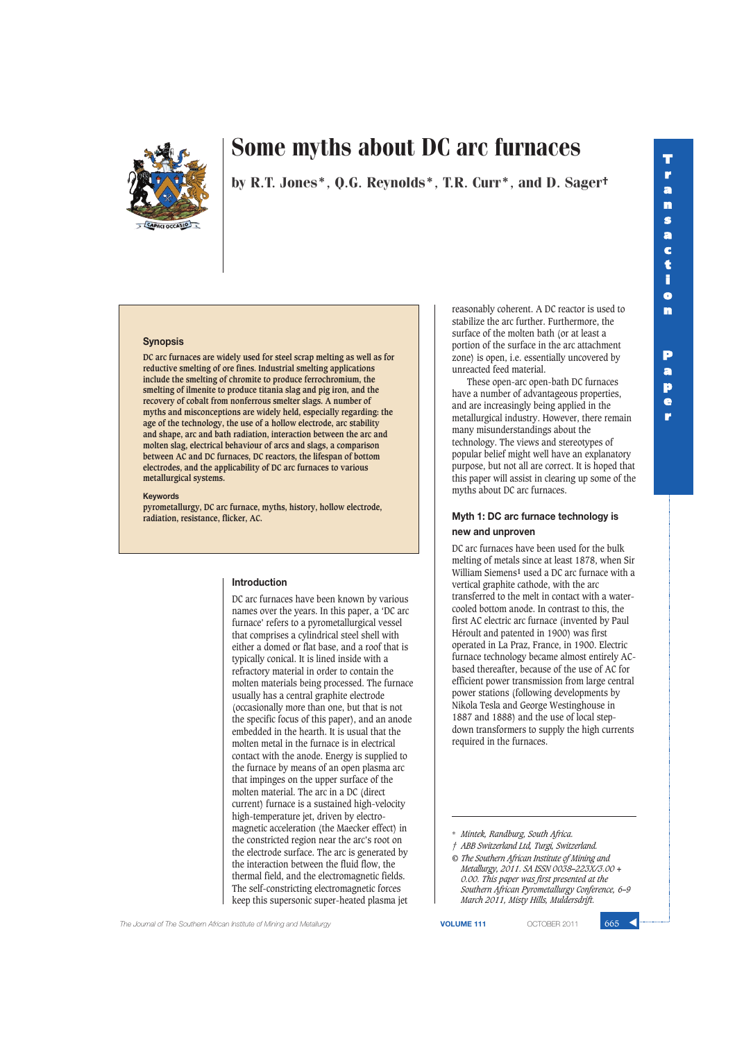

by R.T. Jones\*, Q.G. Reynolds\*, T.R. Curr\*, and D. Sager†

#### **Synopsis**

**DC arc furnaces are widely used for steel scrap melting as well as for reductive smelting of ore fines. Industrial smelting applications include the smelting of chromite to produce ferrochromium, the smelting of ilmenite to produce titania slag and pig iron, and the recovery of cobalt from nonferrous smelter slags. A number of myths and misconceptions are widely held, especially regarding: the age of the technology, the use of a hollow electrode, arc stability and shape, arc and bath radiation, interaction between the arc and molten slag, electrical behaviour of arcs and slags, a comparison between AC and DC furnaces, DC reactors, the lifespan of bottom electrodes, and the applicability of DC arc furnaces to various metallurgical systems.**

#### **Keywords**

**pyrometallurgy, DC arc furnace, myths, history, hollow electrode, radiation, resistance, flicker, AC.**

#### **Introduction**

DC arc furnaces have been known by various names over the years. In this paper, a 'DC arc furnace' refers to a pyrometallurgical vessel that comprises a cylindrical steel shell with either a domed or flat base, and a roof that is typically conical. It is lined inside with a refractory material in order to contain the molten materials being processed. The furnace usually has a central graphite electrode (occasionally more than one, but that is not the specific focus of this paper), and an anode embedded in the hearth. It is usual that the molten metal in the furnace is in electrical contact with the anode. Energy is supplied to the furnace by means of an open plasma arc that impinges on the upper surface of the molten material. The arc in a DC (direct current) furnace is a sustained high-velocity high-temperature jet, driven by electromagnetic acceleration (the Maecker effect) in the constricted region near the arc's root on the electrode surface. The arc is generated by the interaction between the fluid flow, the thermal field, and the electromagnetic fields. The self-constricting electromagnetic forces keep this supersonic super-heated plasma jet

reasonably coherent. A DC reactor is used to stabilize the arc further. Furthermore, the surface of the molten bath (or at least a portion of the surface in the arc attachment zone) is open, i.e. essentially uncovered by unreacted feed material.

These open-arc open-bath DC furnaces have a number of advantageous properties, and are increasingly being applied in the metallurgical industry. However, there remain many misunderstandings about the technology. The views and stereotypes of popular belief might well have an explanatory purpose, but not all are correct. It is hoped that this paper will assist in clearing up some of the myths about DC arc furnaces.

#### **Myth 1: DC arc furnace technology is new and unproven**

DC arc furnaces have been used for the bulk melting of metals since at least 1878, when Sir William Siemens**1** used a DC arc furnace with a vertical graphite cathode, with the arc transferred to the melt in contact with a watercooled bottom anode. In contrast to this, the first AC electric arc furnace (invented by Paul Héroult and patented in 1900) was first operated in La Praz, France, in 1900. Electric furnace technology became almost entirely ACbased thereafter, because of the use of AC for efficient power transmission from large central power stations (following developments by Nikola Tesla and George Westinghouse in 1887 and 1888) and the use of local stepdown transformers to supply the high currents required in the furnaces.

**The Journal of The Southern African Institute of Mining and Metallurgy <b>VOLUME 111 VOLUME 111 COTOBER 2011** 665

<sup>\*</sup> *Mintek, Randburg, South Africa.*

*<sup>†</sup> ABB Switzerland Ltd, Turgi, Switzerland.*

*<sup>©</sup> The Southern African Institute of Mining and Metallurgy, 2011. SA ISSN 0038–223X/3.00 + 0.00. This paper was first presented at the Southern African Pyrometallurgy Conference, 6–9 March 2011, Misty Hills, Muldersdrift.*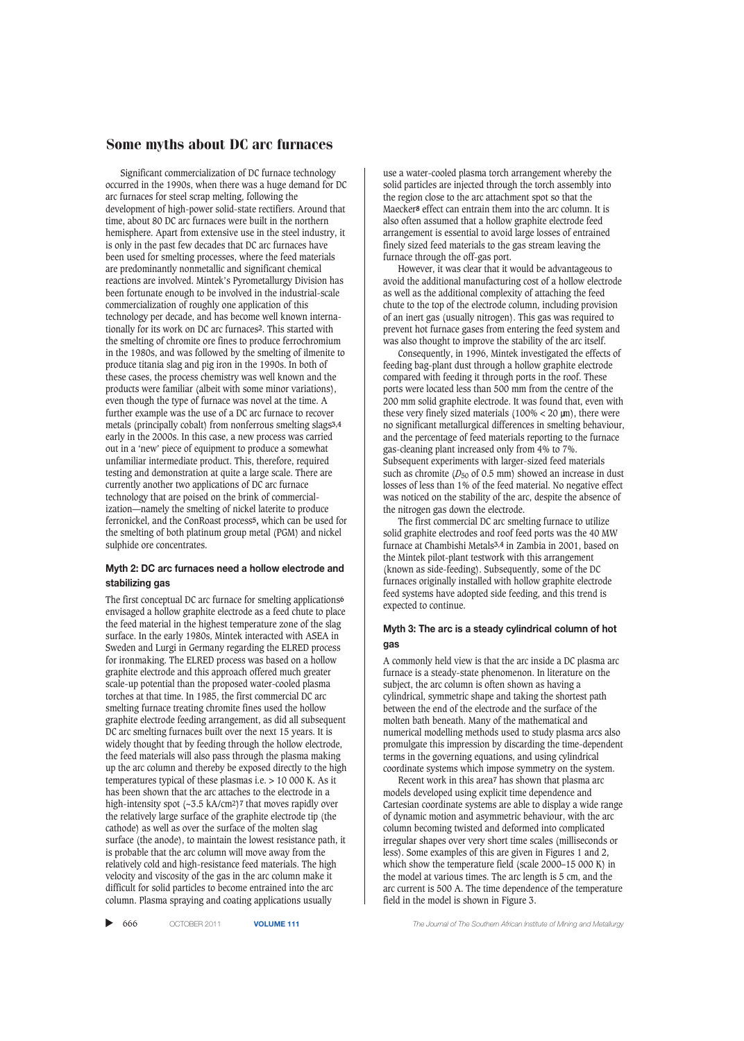Significant commercialization of DC furnace technology occurred in the 1990s, when there was a huge demand for DC arc furnaces for steel scrap melting, following the development of high-power solid-state rectifiers. Around that time, about 80 DC arc furnaces were built in the northern hemisphere. Apart from extensive use in the steel industry, it is only in the past few decades that DC arc furnaces have been used for smelting processes, where the feed materials are predominantly nonmetallic and significant chemical reactions are involved. Mintek's Pyrometallurgy Division has been fortunate enough to be involved in the industrial-scale commercialization of roughly one application of this technology per decade, and has become well known internationally for its work on DC arc furnaces**2**. This started with the smelting of chromite ore fines to produce ferrochromium in the 1980s, and was followed by the smelting of ilmenite to produce titania slag and pig iron in the 1990s. In both of these cases, the process chemistry was well known and the products were familiar (albeit with some minor variations), even though the type of furnace was novel at the time. A further example was the use of a DC arc furnace to recover metals (principally cobalt) from nonferrous smelting slags**3,4** early in the 2000s. In this case, a new process was carried out in a 'new' piece of equipment to produce a somewhat unfamiliar intermediate product. This, therefore, required testing and demonstration at quite a large scale. There are currently another two applications of DC arc furnace technology that are poised on the brink of commercialization—namely the smelting of nickel laterite to produce ferronickel, and the ConRoast process**5,** which can be used for the smelting of both platinum group metal (PGM) and nickel sulphide ore concentrates.

#### **Myth 2: DC arc furnaces need a hollow electrode and stabilizing gas**

The first conceptual DC arc furnace for smelting applications**6** envisaged a hollow graphite electrode as a feed chute to place the feed material in the highest temperature zone of the slag surface. In the early 1980s, Mintek interacted with ASEA in Sweden and Lurgi in Germany regarding the ELRED process for ironmaking. The ELRED process was based on a hollow graphite electrode and this approach offered much greater scale-up potential than the proposed water-cooled plasma torches at that time. In 1985, the first commercial DC arc smelting furnace treating chromite fines used the hollow graphite electrode feeding arrangement, as did all subsequent DC arc smelting furnaces built over the next 15 years. It is widely thought that by feeding through the hollow electrode, the feed materials will also pass through the plasma making up the arc column and thereby be exposed directly to the high temperatures typical of these plasmas i.e. > 10 000 K. As it has been shown that the arc attaches to the electrode in a high-intensity spot (~3.5 kA/cm2)**7** that moves rapidly over the relatively large surface of the graphite electrode tip (the cathode) as well as over the surface of the molten slag surface (the anode), to maintain the lowest resistance path, it is probable that the arc column will move away from the relatively cold and high-resistance feed materials. The high velocity and viscosity of the gas in the arc column make it difficult for solid particles to become entrained into the arc column. Plasma spraying and coating applications usually

use a water-cooled plasma torch arrangement whereby the solid particles are injected through the torch assembly into the region close to the arc attachment spot so that the Maecker**8** effect can entrain them into the arc column. It is also often assumed that a hollow graphite electrode feed arrangement is essential to avoid large losses of entrained finely sized feed materials to the gas stream leaving the furnace through the off-gas port.

However, it was clear that it would be advantageous to avoid the additional manufacturing cost of a hollow electrode as well as the additional complexity of attaching the feed chute to the top of the electrode column, including provision of an inert gas (usually nitrogen). This gas was required to prevent hot furnace gases from entering the feed system and was also thought to improve the stability of the arc itself.

Consequently, in 1996, Mintek investigated the effects of feeding bag-plant dust through a hollow graphite electrode compared with feeding it through ports in the roof. These ports were located less than 500 mm from the centre of the 200 mm solid graphite electrode. It was found that, even with these very finely sized materials  $(100\% < 20 \text{ }\mu\text{m})$ , there were no significant metallurgical differences in smelting behaviour, and the percentage of feed materials reporting to the furnace gas-cleaning plant increased only from 4% to 7%. Subsequent experiments with larger-sized feed materials such as chromite ( $D_{50}$  of 0.5 mm) showed an increase in dust losses of less than 1% of the feed material. No negative effect was noticed on the stability of the arc, despite the absence of the nitrogen gas down the electrode.

The first commercial DC arc smelting furnace to utilize solid graphite electrodes and roof feed ports was the 40 MW furnace at Chambishi Metals**3,4** in Zambia in 2001, based on the Mintek pilot-plant testwork with this arrangement (known as side-feeding). Subsequently, some of the DC furnaces originally installed with hollow graphite electrode feed systems have adopted side feeding, and this trend is expected to continue.

#### **Myth 3: The arc is a steady cylindrical column of hot gas**

A commonly held view is that the arc inside a DC plasma arc furnace is a steady-state phenomenon. In literature on the subject, the arc column is often shown as having a cylindrical, symmetric shape and taking the shortest path between the end of the electrode and the surface of the molten bath beneath. Many of the mathematical and numerical modelling methods used to study plasma arcs also promulgate this impression by discarding the time-dependent terms in the governing equations, and using cylindrical coordinate systems which impose symmetry on the system.

Recent work in this area**7** has shown that plasma arc models developed using explicit time dependence and Cartesian coordinate systems are able to display a wide range of dynamic motion and asymmetric behaviour, with the arc column becoming twisted and deformed into complicated irregular shapes over very short time scales (milliseconds or less). Some examples of this are given in Figures 1 and 2, which show the temperature field (scale 2000–15 000 K) in the model at various times. The arc length is 5 cm, and the arc current is 500 A. The time dependence of the temperature field in the model is shown in Figure 3.

▲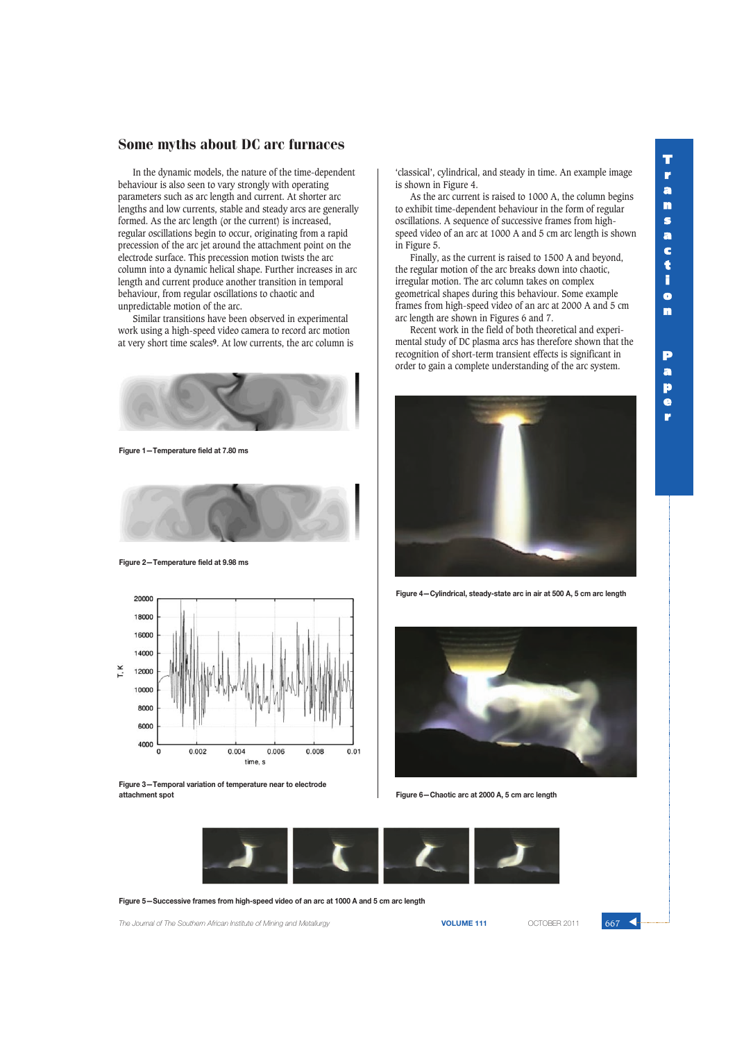In the dynamic models, the nature of the time-dependent behaviour is also seen to vary strongly with operating parameters such as arc length and current. At shorter arc lengths and low currents, stable and steady arcs are generally formed. As the arc length (or the current) is increased, regular oscillations begin to occur, originating from a rapid precession of the arc jet around the attachment point on the electrode surface. This precession motion twists the arc column into a dynamic helical shape. Further increases in arc length and current produce another transition in temporal behaviour, from regular oscillations to chaotic and unpredictable motion of the arc.

Similar transitions have been observed in experimental work using a high-speed video camera to record arc motion at very short time scales**9**. At low currents, the arc column is



**Figure 1—Temperature field at 7.80 ms**



**Figure 2—Temperature field at 9.98 ms**



**Figure 3—Temporal variation of temperature near to electrode attachment spot Figure 6—Chaotic arc at 2000 A, 5 cm arc length**

'classical', cylindrical, and steady in time. An example image is shown in Figure 4.

As the arc current is raised to 1000 A, the column begins to exhibit time-dependent behaviour in the form of regular oscillations. A sequence of successive frames from highspeed video of an arc at 1000 A and 5 cm arc length is shown in Figure 5.

Finally, as the current is raised to 1500 A and beyond, the regular motion of the arc breaks down into chaotic, irregular motion. The arc column takes on complex geometrical shapes during this behaviour. Some example frames from high-speed video of an arc at 2000 A and 5 cm arc length are shown in Figures 6 and 7.

Recent work in the field of both theoretical and experimental study of DC plasma arcs has therefore shown that the recognition of short-term transient effects is significant in order to gain a complete understanding of the arc system.



**Figure 4—Cylindrical, steady-state arc in air at 500 A, 5 cm arc length**





**Figure 5—Successive frames from high-speed video of an arc at 1000 A and 5 cm arc length**

**The Journal of The Southern African Institute of Mining and Metallurgy <b>VOLUME 111 VOLUME 111 COTOBER 2011 667** 

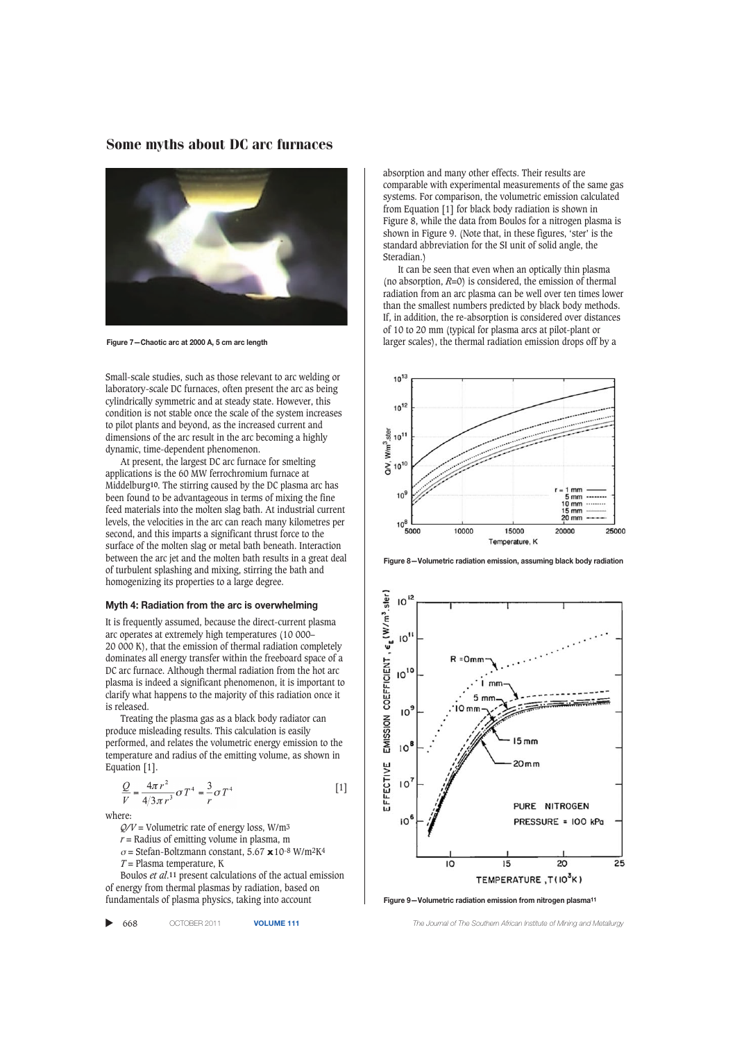

**Figure 7—Chaotic arc at 2000 A, 5 cm arc length**

Small-scale studies, such as those relevant to arc welding or laboratory-scale DC furnaces, often present the arc as being cylindrically symmetric and at steady state. However, this condition is not stable once the scale of the system increases to pilot plants and beyond, as the increased current and dimensions of the arc result in the arc becoming a highly dynamic, time-dependent phenomenon.

At present, the largest DC arc furnace for smelting applications is the 60 MW ferrochromium furnace at Middelburg**10**. The stirring caused by the DC plasma arc has been found to be advantageous in terms of mixing the fine feed materials into the molten slag bath. At industrial current levels, the velocities in the arc can reach many kilometres per second, and this imparts a significant thrust force to the surface of the molten slag or metal bath beneath. Interaction between the arc jet and the molten bath results in a great deal of turbulent splashing and mixing, stirring the bath and homogenizing its properties to a large degree.

#### **Myth 4: Radiation from the arc is overwhelming**

It is frequently assumed, because the direct-current plasma arc operates at extremely high temperatures (10 000– 20 000 K), that the emission of thermal radiation completely dominates all energy transfer within the freeboard space of a DC arc furnace. Although thermal radiation from the hot arc plasma is indeed a significant phenomenon, it is important to clarify what happens to the majority of this radiation once it is released.

Treating the plasma gas as a black body radiator can produce misleading results. This calculation is easily performed, and relates the volumetric energy emission to the temperature and radius of the emitting volume, as shown in Equation [1].

$$
\frac{Q}{V} = \frac{4\pi r^2}{4/3\pi r^3} \sigma T^4 = \frac{3}{r} \sigma T^4
$$
 [1]

where:

*Q/V* = Volumetric rate of energy loss, W/m3

 $r =$  Radius of emitting volume in plasma, m

- <sup>σ</sup> = Stefan-Boltzmann constant, 5.67 **x** 10-8 W/m2K4
- *T* = Plasma temperature, K

Boulos *et al*.**11** present calculations of the actual emission of energy from thermal plasmas by radiation, based on fundamentals of plasma physics, taking into account

| 668<br>OCTOBER 2011 | <b>VOLUN</b> |
|---------------------|--------------|
|---------------------|--------------|

absorption and many other effects. Their results are comparable with experimental measurements of the same gas systems. For comparison, the volumetric emission calculated from Equation [1] for black body radiation is shown in Figure 8, while the data from Boulos for a nitrogen plasma is shown in Figure 9. (Note that, in these figures, 'ster' is the standard abbreviation for the SI unit of solid angle, the Steradian.)

It can be seen that even when an optically thin plasma (no absorption,  $R=0$ ) is considered, the emission of thermal radiation from an arc plasma can be well over ten times lower than the smallest numbers predicted by black body methods. If, in addition, the re-absorption is considered over distances of 10 to 20 mm (typical for plasma arcs at pilot-plant or larger scales), the thermal radiation emission drops off by a



**Figure 8—Volumetric radiation emission, assuming black body radiation**



**Figure 9—Volumetric radiation emission from nitrogen plasma11**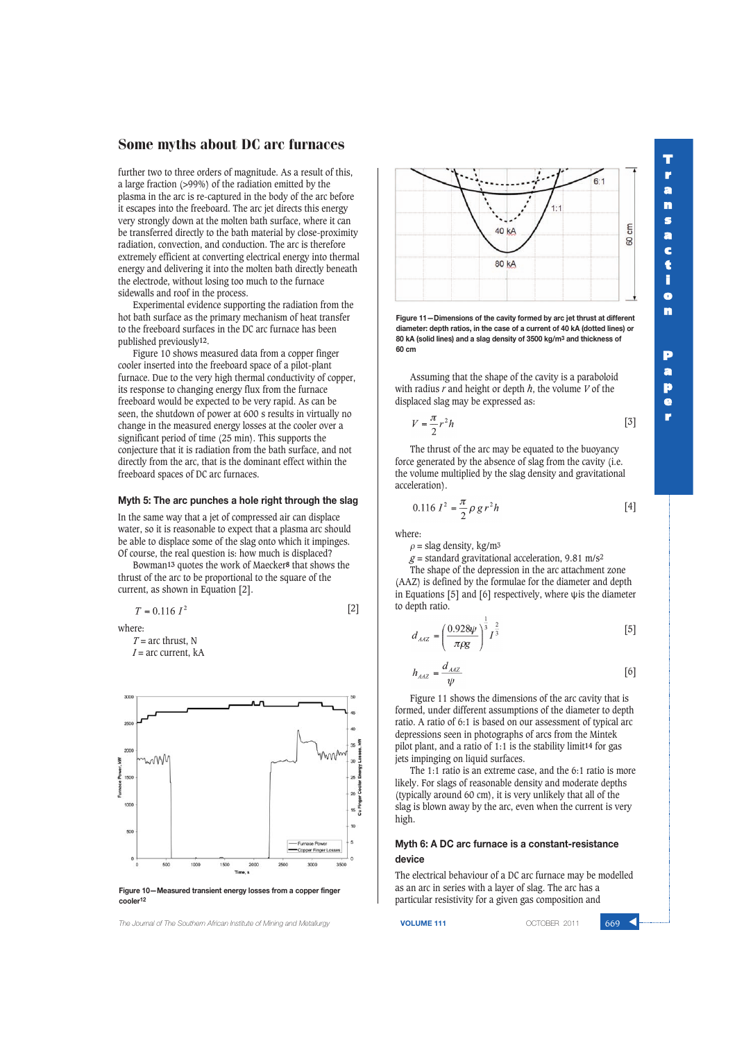further two to three orders of magnitude. As a result of this, a large fraction (>99%) of the radiation emitted by the plasma in the arc is re-captured in the body of the arc before it escapes into the freeboard. The arc jet directs this energy very strongly down at the molten bath surface, where it can be transferred directly to the bath material by close-proximity radiation, convection, and conduction. The arc is therefore extremely efficient at converting electrical energy into thermal energy and delivering it into the molten bath directly beneath the electrode, without losing too much to the furnace sidewalls and roof in the process.

Experimental evidence supporting the radiation from the hot bath surface as the primary mechanism of heat transfer to the freeboard surfaces in the DC arc furnace has been published previously**12**.

Figure 10 shows measured data from a copper finger cooler inserted into the freeboard space of a pilot-plant furnace. Due to the very high thermal conductivity of copper, its response to changing energy flux from the furnace freeboard would be expected to be very rapid. As can be seen, the shutdown of power at 600 s results in virtually no change in the measured energy losses at the cooler over a significant period of time (25 min). This supports the conjecture that it is radiation from the bath surface, and not directly from the arc, that is the dominant effect within the freeboard spaces of DC arc furnaces.

#### **Myth 5: The arc punches a hole right through the slag**

In the same way that a jet of compressed air can displace water, so it is reasonable to expect that a plasma arc should be able to displace some of the slag onto which it impinges. Of course, the real question is: how much is displaced?

Bowman**13** quotes the work of Maecker**8** that shows the thrust of the arc to be proportional to the square of the current, as shown in Equation [2].

$$
T=0.116~I^2
$$

where:

 $T =$  arc thrust, N *I* = arc current, kA



**Figure 10—Measured transient energy losses from a copper finger cooler12**

*The Journal of The Southern African Institute of Mining and Metallurgy* **VOLUME 111** OCTOBER 2011 669 ▲



**T r a n s a c t i o n**

**P a p e r**

**Figure 11—Dimensions of the cavity formed by arc jet thrust at different diameter: depth ratios, in the case of a current of 40 kA (dotted lines) or 80 kA (solid lines) and a slag density of 3500 kg/m3 and thickness of 60 cm**

Assuming that the shape of the cavity is a paraboloid with radius *r* and height or depth *h*, the volume *V* of the displaced slag may be expressed as:

$$
V = \frac{\pi}{2} r^2 h \tag{5}
$$

The thrust of the arc may be equated to the buoyancy force generated by the absence of slag from the cavity (i.e. the volume multiplied by the slag density and gravitational acceleration).

$$
0.116 I^2 = \frac{\pi}{2} \rho g r^2 h \tag{4}
$$

where:

[2]

 $\rho$  = slag density, kg/m<sup>3</sup>

 $g$  = standard gravitational acceleration, 9.81 m/s<sup>2</sup>

The shape of the depression in the arc attachment zone (AAZ) is defined by the formulae for the diameter and depth in Equations [5] and [6] respectively, where ψis the diameter to depth ratio.

$$
d_{AAZ} = \left(\frac{0.928\psi}{\pi\rho g}\right)^{\frac{1}{3}} I^{\frac{2}{3}}
$$
 [5]

$$
h_{AAZ} = \frac{d_{AAZ}}{\psi} \tag{6}
$$

Figure 11 shows the dimensions of the arc cavity that is formed, under different assumptions of the diameter to depth ratio. A ratio of 6:1 is based on our assessment of typical arc depressions seen in photographs of arcs from the Mintek pilot plant, and a ratio of 1:1 is the stability limit**14** for gas jets impinging on liquid surfaces.

The 1:1 ratio is an extreme case, and the 6:1 ratio is more likely. For slags of reasonable density and moderate depths (typically around 60 cm), it is very unlikely that all of the slag is blown away by the arc, even when the current is very high.

#### **Myth 6: A DC arc furnace is a constant-resistance device**

The electrical behaviour of a DC arc furnace may be modelled as an arc in series with a layer of slag. The arc has a particular resistivity for a given gas composition and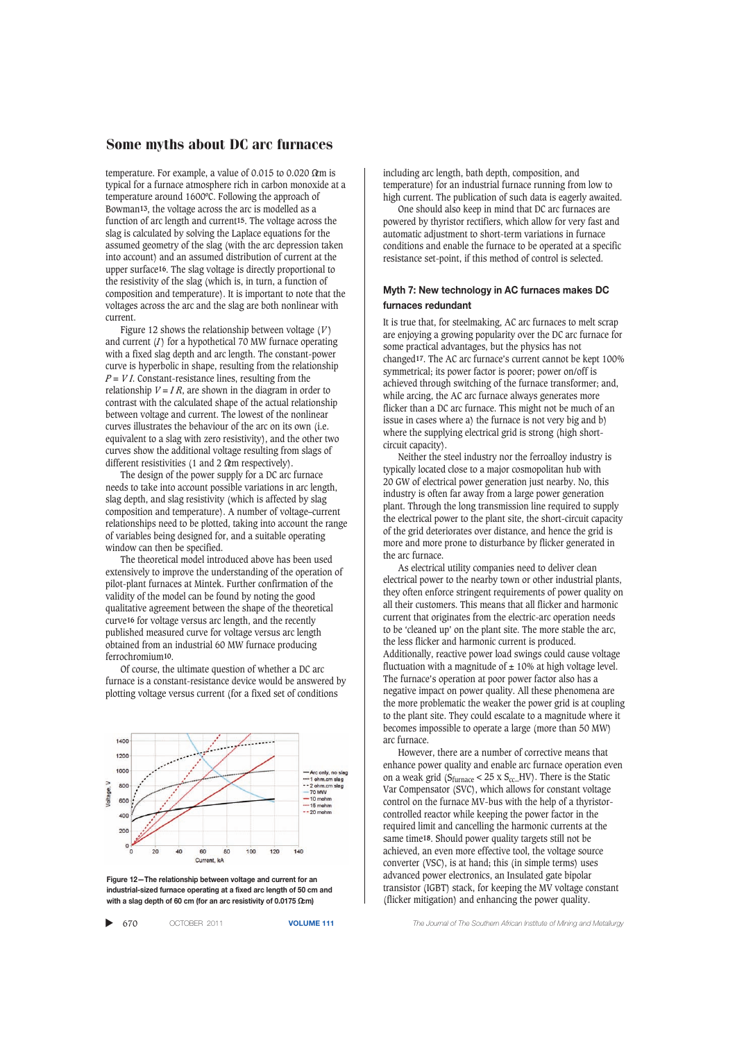temperature. For example, a value of 0.015 to 0.020  $\Omega$ m is typical for a furnace atmosphere rich in carbon monoxide at a temperature around 1600ºC. Following the approach of Bowman**13**, the voltage across the arc is modelled as a function of arc length and current**15**. The voltage across the slag is calculated by solving the Laplace equations for the assumed geometry of the slag (with the arc depression taken into account) and an assumed distribution of current at the upper surface**16**. The slag voltage is directly proportional to the resistivity of the slag (which is, in turn, a function of composition and temperature). It is important to note that the voltages across the arc and the slag are both nonlinear with current.

Figure 12 shows the relationship between voltage (*V* ) and current (*I*) for a hypothetical 70 MW furnace operating with a fixed slag depth and arc length. The constant-power curve is hyperbolic in shape, resulting from the relationship  $P = VI$ . Constant-resistance lines, resulting from the relationship  $V = IR$ , are shown in the diagram in order to contrast with the calculated shape of the actual relationship between voltage and current. The lowest of the nonlinear curves illustrates the behaviour of the arc on its own (i.e. equivalent to a slag with zero resistivity), and the other two curves show the additional voltage resulting from slags of different resistivities (1 and 2  $\Omega$ cm respectively).

The design of the power supply for a DC arc furnace needs to take into account possible variations in arc length, slag depth, and slag resistivity (which is affected by slag composition and temperature). A number of voltage–current relationships need to be plotted, taking into account the range of variables being designed for, and a suitable operating window can then be specified.

The theoretical model introduced above has been used extensively to improve the understanding of the operation of pilot-plant furnaces at Mintek. Further confirmation of the validity of the model can be found by noting the good qualitative agreement between the shape of the theoretical curve**16** for voltage versus arc length, and the recently published measured curve for voltage versus arc length obtained from an industrial 60 MW furnace producing ferrochromium**10**.

Of course, the ultimate question of whether a DC arc furnace is a constant-resistance device would be answered by plotting voltage versus current (for a fixed set of conditions



**Figure 12—The relationship between voltage and current for an industrial-sized furnace operating at a fixed arc length of 50 cm and with a slag depth of 60 cm (for an arc resistivity of 0.0175 Ωcm)**

|  | 670 | OCTOBER 2011 | <b>VOLUME</b> |
|--|-----|--------------|---------------|
|--|-----|--------------|---------------|

including arc length, bath depth, composition, and temperature) for an industrial furnace running from low to high current. The publication of such data is eagerly awaited.

One should also keep in mind that DC arc furnaces are powered by thyristor rectifiers, which allow for very fast and automatic adjustment to short-term variations in furnace conditions and enable the furnace to be operated at a specific resistance set-point, if this method of control is selected.

#### **Myth 7: New technology in AC furnaces makes DC furnaces redundant**

It is true that, for steelmaking, AC arc furnaces to melt scrap are enjoying a growing popularity over the DC arc furnace for some practical advantages, but the physics has not changed**17**. The AC arc furnace's current cannot be kept 100% symmetrical; its power factor is poorer; power on/off is achieved through switching of the furnace transformer; and, while arcing, the AC arc furnace always generates more flicker than a DC arc furnace. This might not be much of an issue in cases where a) the furnace is not very big and b) where the supplying electrical grid is strong (high shortcircuit capacity).

Neither the steel industry nor the ferroalloy industry is typically located close to a major cosmopolitan hub with 20 GW of electrical power generation just nearby. No, this industry is often far away from a large power generation plant. Through the long transmission line required to supply the electrical power to the plant site, the short-circuit capacity of the grid deteriorates over distance, and hence the grid is more and more prone to disturbance by flicker generated in the arc furnace.

As electrical utility companies need to deliver clean electrical power to the nearby town or other industrial plants, they often enforce stringent requirements of power quality on all their customers. This means that all flicker and harmonic current that originates from the electric-arc operation needs to be 'cleaned up' on the plant site. The more stable the arc, the less flicker and harmonic current is produced. Additionally, reactive power load swings could cause voltage fluctuation with a magnitude of  $\pm$  10% at high voltage level. The furnace's operation at poor power factor also has a negative impact on power quality. All these phenomena are the more problematic the weaker the power grid is at coupling to the plant site. They could escalate to a magnitude where it becomes impossible to operate a large (more than 50 MW) arc furnace.

However, there are a number of corrective means that enhance power quality and enable arc furnace operation even on a weak grid ( $S_{\text{furnace}}$  < 25 x  $S_{\text{cc}}$  HV). There is the Static Var Compensator (SVC), which allows for constant voltage control on the furnace MV-bus with the help of a thyristorcontrolled reactor while keeping the power factor in the required limit and cancelling the harmonic currents at the same time**18**. Should power quality targets still not be achieved, an even more effective tool, the voltage source converter (VSC), is at hand; this (in simple terms) uses advanced power electronics, an Insulated gate bipolar transistor (IGBT) stack, for keeping the MV voltage constant (flicker mitigation) and enhancing the power quality.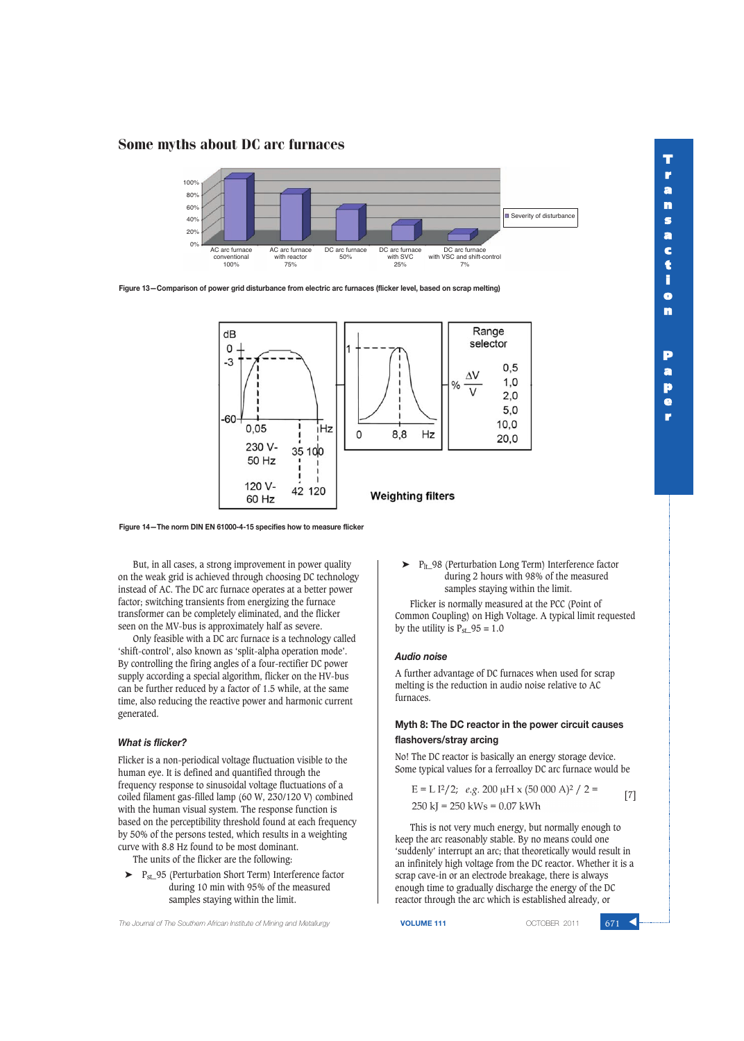**P a p e r**

### Some myths about DC arc furnaces



**Figure 13—Comparison of power grid disturbance from electric arc furnaces (flicker level, based on scrap melting)**



**Figure 14—The norm DIN EN 61000-4-15 specifies how to measure flicker**

But, in all cases, a strong improvement in power quality on the weak grid is achieved through choosing DC technology instead of AC. The DC arc furnace operates at a better power factor; switching transients from energizing the furnace transformer can be completely eliminated, and the flicker seen on the MV-bus is approximately half as severe.

Only feasible with a DC arc furnace is a technology called 'shift-control', also known as 'split-alpha operation mode'. By controlling the firing angles of a four-rectifier DC power supply according a special algorithm, flicker on the HV-bus can be further reduced by a factor of 1.5 while, at the same time, also reducing the reactive power and harmonic current generated.

#### *What is flicker?*

Flicker is a non-periodical voltage fluctuation visible to the human eye. It is defined and quantified through the frequency response to sinusoidal voltage fluctuations of a coiled filament gas-filled lamp (60 W, 230/120 V) combined with the human visual system. The response function is based on the perceptibility threshold found at each frequency by 50% of the persons tested, which results in a weighting curve with 8.8 Hz found to be most dominant.

The units of the flicker are the following:

 $\blacktriangleright$  P<sub>st</sub> 95 (Perturbation Short Term) Interference factor during 10 min with 95% of the measured samples staying within the limit.

➤ Plt\_98 (Perturbation Long Term) Interference factor during 2 hours with 98% of the measured samples staying within the limit.

Flicker is normally measured at the PCC (Point of Common Coupling) on High Voltage. A typical limit requested by the utility is  $P_{\text{st}}$  95 = 1.0

#### *Audio noise*

A further advantage of DC furnaces when used for scrap melting is the reduction in audio noise relative to AC furnaces.

#### **Myth 8: The DC reactor in the power circuit causes flashovers/stray arcing**

No! The DC reactor is basically an energy storage device. Some typical values for a ferroalloy DC arc furnace would be

$$
E = L I2/2; e.g. 200 \mu H \times (50\ 000\ A)2 / 2 = [7]
$$
  
250 kI = 250 kWs = 0.07 kWh

This is not very much energy, but normally enough to keep the arc reasonably stable. By no means could one 'suddenly' interrupt an arc; that theoretically would result in an infinitely high voltage from the DC reactor. Whether it is a scrap cave-in or an electrode breakage, there is always enough time to gradually discharge the energy of the DC reactor through the arc which is established already, or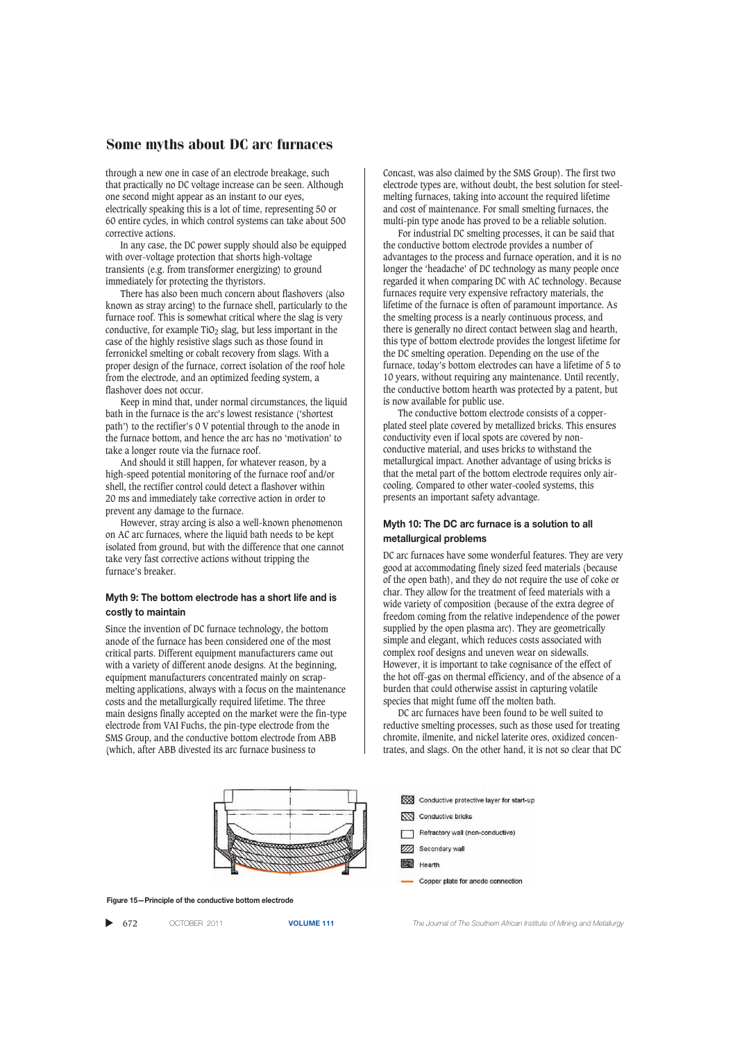through a new one in case of an electrode breakage, such that practically no DC voltage increase can be seen. Although one second might appear as an instant to our eyes, electrically speaking this is a lot of time, representing 50 or 60 entire cycles, in which control systems can take about 500 corrective actions.

In any case, the DC power supply should also be equipped with over-voltage protection that shorts high-voltage transients (e.g. from transformer energizing) to ground immediately for protecting the thyristors.

There has also been much concern about flashovers (also known as stray arcing) to the furnace shell, particularly to the furnace roof. This is somewhat critical where the slag is very conductive, for example  $TiO<sub>2</sub>$  slag, but less important in the case of the highly resistive slags such as those found in ferronickel smelting or cobalt recovery from slags. With a proper design of the furnace, correct isolation of the roof hole from the electrode, and an optimized feeding system, a flashover does not occur.

Keep in mind that, under normal circumstances, the liquid bath in the furnace is the arc's lowest resistance ('shortest path') to the rectifier's 0 V potential through to the anode in the furnace bottom, and hence the arc has no 'motivation' to take a longer route via the furnace roof.

And should it still happen, for whatever reason, by a high-speed potential monitoring of the furnace roof and/or shell, the rectifier control could detect a flashover within 20 ms and immediately take corrective action in order to prevent any damage to the furnace.

However, stray arcing is also a well-known phenomenon on AC arc furnaces, where the liquid bath needs to be kept isolated from ground, but with the difference that one cannot take very fast corrective actions without tripping the furnace's breaker.

#### **Myth 9: The bottom electrode has a short life and is costly to maintain**

Since the invention of DC furnace technology, the bottom anode of the furnace has been considered one of the most critical parts. Different equipment manufacturers came out with a variety of different anode designs. At the beginning, equipment manufacturers concentrated mainly on scrapmelting applications, always with a focus on the maintenance costs and the metallurgically required lifetime. The three main designs finally accepted on the market were the fin-type electrode from VAI Fuchs, the pin-type electrode from the SMS Group, and the conductive bottom electrode from ABB (which, after ABB divested its arc furnace business to

Concast, was also claimed by the SMS Group). The first two electrode types are, without doubt, the best solution for steelmelting furnaces, taking into account the required lifetime and cost of maintenance. For small smelting furnaces, the multi-pin type anode has proved to be a reliable solution.

For industrial DC smelting processes, it can be said that the conductive bottom electrode provides a number of advantages to the process and furnace operation, and it is no longer the 'headache' of DC technology as many people once regarded it when comparing DC with AC technology. Because furnaces require very expensive refractory materials, the lifetime of the furnace is often of paramount importance. As the smelting process is a nearly continuous process, and there is generally no direct contact between slag and hearth, this type of bottom electrode provides the longest lifetime for the DC smelting operation. Depending on the use of the furnace, today's bottom electrodes can have a lifetime of 5 to 10 years, without requiring any maintenance. Until recently, the conductive bottom hearth was protected by a patent, but is now available for public use.

The conductive bottom electrode consists of a copperplated steel plate covered by metallized bricks. This ensures conductivity even if local spots are covered by nonconductive material, and uses bricks to withstand the metallurgical impact. Another advantage of using bricks is that the metal part of the bottom electrode requires only aircooling. Compared to other water-cooled systems, this presents an important safety advantage.

#### **Myth 10: The DC arc furnace is a solution to all metallurgical problems**

DC arc furnaces have some wonderful features. They are very good at accommodating finely sized feed materials (because of the open bath), and they do not require the use of coke or char. They allow for the treatment of feed materials with a wide variety of composition (because of the extra degree of freedom coming from the relative independence of the power supplied by the open plasma arc). They are geometrically simple and elegant, which reduces costs associated with complex roof designs and uneven wear on sidewalls. However, it is important to take cognisance of the effect of the hot off-gas on thermal efficiency, and of the absence of a burden that could otherwise assist in capturing volatile species that might fume off the molten bath.

DC arc furnaces have been found to be well suited to reductive smelting processes, such as those used for treating chromite, ilmenite, and nickel laterite ores, oxidized concentrates, and slags. On the other hand, it is not so clear that DC



**Figure 15—Principle of the conductive bottom electrode**

▲